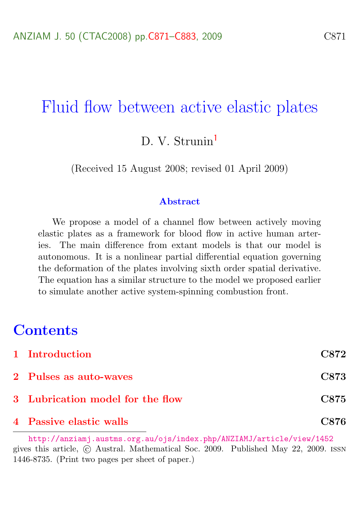## Fluid flow between active elastic plates

D. V. Strunin<sup>[1](#page-12-0)</sup>

(Received 15 August 2008; revised 01 April 2009)

#### Abstract

We propose a model of a channel flow between actively moving elastic plates as a framework for blood flow in active human arteries. The main difference from extant models is that our model is autonomous. It is a nonlinear partial differential equation governing the deformation of the plates involving sixth order spatial derivative. The equation has a similar structure to the model we proposed earlier to simulate another active system-spinning combustion front.

## **Contents**

| 4 Passive elastic walls          | C876        |
|----------------------------------|-------------|
| 3 Lubrication model for the flow | <b>C875</b> |
| 2 Pulses as auto-waves           | C873        |
| 1 Introduction                   | C872        |

<http://anziamj.austms.org.au/ojs/index.php/ANZIAMJ/article/view/1452> gives this article, c Austral. Mathematical Soc. 2009. Published May 22, 2009. issn 1446-8735. (Print two pages per sheet of paper.)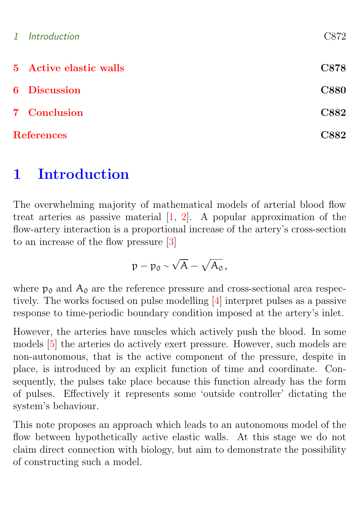<span id="page-1-1"></span>

| $\mathcal{I}$     | Introduction           | C872        |
|-------------------|------------------------|-------------|
|                   | 5 Active elastic walls | C878        |
|                   | 6 Discussion           | <b>C880</b> |
|                   | 7 Conclusion           | C882        |
| <b>References</b> |                        | C882        |

## <span id="page-1-0"></span>1 Introduction

The overwhelming majority of mathematical models of arterial blood flow treat arteries as passive material [\[1,](#page-11-1) [2\]](#page-11-2). A popular approximation of the flow-artery interaction is a proportional increase of the artery's cross-section to an increase of the flow pressure [\[3\]](#page-11-3)

$$
p-p_0\sim \sqrt{A}-\sqrt{A_0}\,,
$$

where  $p_0$  and  $A_0$  are the reference pressure and cross-sectional area respectively. The works focused on pulse modelling [\[4\]](#page-11-4) interpret pulses as a passive response to time-periodic boundary condition imposed at the artery's inlet.

However, the arteries have muscles which actively push the blood. In some models [\[5\]](#page-12-1) the arteries do actively exert pressure. However, such models are non-autonomous, that is the active component of the pressure, despite in place, is introduced by an explicit function of time and coordinate. Consequently, the pulses take place because this function already has the form of pulses. Effectively it represents some 'outside controller' dictating the system's behaviour.

This note proposes an approach which leads to an autonomous model of the flow between hypothetically active elastic walls. At this stage we do not claim direct connection with biology, but aim to demonstrate the possibility of constructing such a model.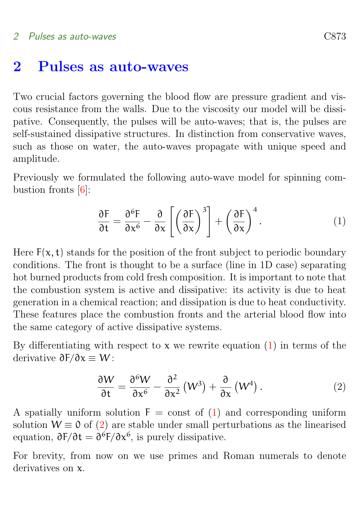### <span id="page-2-3"></span><span id="page-2-0"></span>2 Pulses as auto-waves

Two crucial factors governing the blood flow are pressure gradient and viscous resistance from the walls. Due to the viscosity our model will be dissipative. Consequently, the pulses will be auto-waves; that is, the pulses are self-sustained dissipative structures. In distinction from conservative waves, such as those on water, the auto-waves propagate with unique speed and amplitude.

Previously we formulated the following auto-wave model for spinning combustion fronts [\[6\]](#page-12-2):

<span id="page-2-1"></span>
$$
\frac{\partial F}{\partial t} = \frac{\partial^6 F}{\partial x^6} - \frac{\partial}{\partial x} \left[ \left( \frac{\partial F}{\partial x} \right)^3 \right] + \left( \frac{\partial F}{\partial x} \right)^4.
$$
 (1)

Here  $F(x, t)$  stands for the position of the front subject to periodic boundary conditions. The front is thought to be a surface (line in 1D case) separating hot burned products from cold fresh composition. It is important to note that the combustion system is active and dissipative: its activity is due to heat generation in a chemical reaction; and dissipation is due to heat conductivity. These features place the combustion fronts and the arterial blood flow into the same category of active dissipative systems.

By differentiating with respect to  $x$  we rewrite equation [\(1\)](#page-2-1) in terms of the derivative  $\partial F/\partial x \equiv W$ :

<span id="page-2-2"></span>
$$
\frac{\partial W}{\partial t} = \frac{\partial^6 W}{\partial x^6} - \frac{\partial^2}{\partial x^2} (W^3) + \frac{\partial}{\partial x} (W^4).
$$
 (2)

A spatially uniform solution  $F = \text{const}$  of [\(1\)](#page-2-1) and corresponding uniform solution  $W \equiv 0$  of [\(2\)](#page-2-2) are stable under small perturbations as the linearised equation,  $\partial F/\partial t = \partial^6 F/\partial x^6$ , is purely dissipative.

For brevity, from now on we use primes and Roman numerals to denote derivatives on x.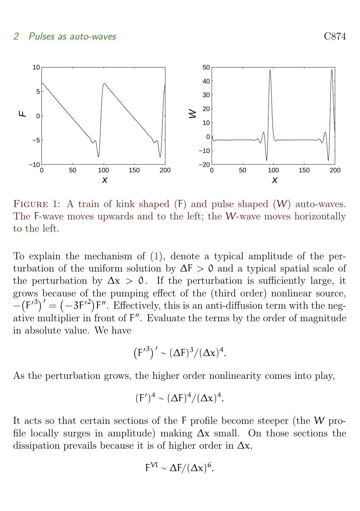#### 2 Pulses as auto-waves C874



<span id="page-3-0"></span>FIGURE 1: A train of kink shaped  $(F)$  and pulse shaped  $(W)$  auto-waves. The F-wave moves upwards and to the left; the W-wave moves horizontally to the left.

To explain the mechanism of [\(1\)](#page-2-1), denote a typical amplitude of the perturbation of the uniform solution by  $\Delta F > 0$  and a typical spatial scale of the perturbation by  $\Delta x > 0$ . If the perturbation is sufficiently large, it grows because of the pumping effect of the (third order) nonlinear source,  $-\left(F'^{3}\right)' = \left(-3F'^{2}\right)F''$ . Effectively, this is an anti-diffusion term with the negative multiplier in front of F". Evaluate the terms by the order of magnitude in absolute value. We have

$$
\left(F'^3\right)' \sim (\Delta F)^3/(\Delta x)^4.
$$

As the perturbation grows, the higher order nonlinearity comes into play,

$$
(\mathsf{F}')^4 \sim (\Delta \mathsf{F})^4 / (\Delta \mathsf{x})^4.
$$

It acts so that certain sections of the F profile become steeper (the W profile locally surges in amplitude) making  $\Delta x$  small. On those sections the dissipation prevails because it is of higher order in  $\Delta x$ ,

$$
F^{VI} \sim \Delta F/(\Delta x)^6.
$$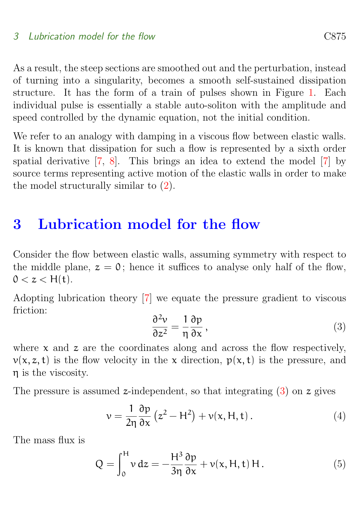<span id="page-4-4"></span>As a result, the steep sections are smoothed out and the perturbation, instead of turning into a singularity, becomes a smooth self-sustained dissipation structure. It has the form of a train of pulses shown in Figure [1.](#page-3-0) Each individual pulse is essentially a stable auto-soliton with the amplitude and speed controlled by the dynamic equation, not the initial condition.

We refer to an analogy with damping in a viscous flow between elastic walls. It is known that dissipation for such a flow is represented by a sixth order spatial derivative [\[7,](#page-12-3) [8\]](#page-12-4). This brings an idea to extend the model [\[7\]](#page-12-3) by source terms representing active motion of the elastic walls in order to make the model structurally similar to [\(2\)](#page-2-2).

### <span id="page-4-0"></span>3 Lubrication model for the flow

Consider the flow between elastic walls, assuming symmetry with respect to the middle plane,  $z = 0$ ; hence it suffices to analyse only half of the flow,  $0 < z < H(t)$ .

Adopting lubrication theory [\[7\]](#page-12-3) we equate the pressure gradient to viscous friction:

<span id="page-4-1"></span>
$$
\frac{\partial^2 v}{\partial z^2} = \frac{1}{\eta} \frac{\partial p}{\partial x},\tag{3}
$$

where  $x$  and  $z$  are the coordinates along and across the flow respectively,  $v(x, z, t)$  is the flow velocity in the x direction,  $p(x, t)$  is the pressure, and η is the viscosity.

The pressure is assumed z-independent, so that integrating  $(3)$  on z gives

<span id="page-4-3"></span>
$$
v = \frac{1}{2\eta} \frac{\partial p}{\partial x} \left( z^2 - H^2 \right) + v(x, H, t).
$$
 (4)

The mass flux is

<span id="page-4-2"></span>
$$
Q = \int_0^H v dz = -\frac{H^3}{3\eta} \frac{\partial p}{\partial x} + v(x, H, t) H.
$$
 (5)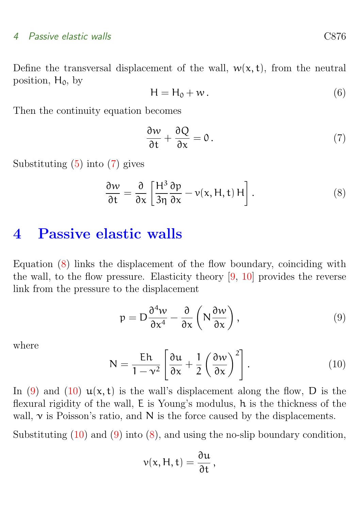#### <span id="page-5-5"></span>4 Passive elastic walls C876

Define the transversal displacement of the wall,  $w(x, t)$ , from the neutral position,  $H_0$ , by

$$
H = H_0 + w. \tag{6}
$$

Then the continuity equation becomes

<span id="page-5-1"></span>
$$
\frac{\partial w}{\partial t} + \frac{\partial Q}{\partial x} = 0.
$$
 (7)

Substituting [\(5\)](#page-4-2) into [\(7\)](#page-5-1) gives

<span id="page-5-2"></span>
$$
\frac{\partial w}{\partial t} = \frac{\partial}{\partial x} \left[ \frac{H^3}{3\eta} \frac{\partial p}{\partial x} - v(x, H, t) H \right].
$$
 (8)

### <span id="page-5-0"></span>4 Passive elastic walls

Equation [\(8\)](#page-5-2) links the displacement of the flow boundary, coinciding with the wall, to the flow pressure. Elasticity theory [\[9,](#page-12-5) [10\]](#page-12-6) provides the reverse link from the pressure to the displacement

<span id="page-5-3"></span>
$$
p = D \frac{\partial^4 w}{\partial x^4} - \frac{\partial}{\partial x} \left( N \frac{\partial w}{\partial x} \right),
$$
\n(9)

where

<span id="page-5-4"></span>
$$
N = \frac{Eh}{1 - v^2} \left[ \frac{\partial u}{\partial x} + \frac{1}{2} \left( \frac{\partial w}{\partial x} \right)^2 \right].
$$
 (10)

In [\(9\)](#page-5-3) and [\(10\)](#page-5-4)  $u(x, t)$  is the wall's displacement along the flow, D is the flexural rigidity of the wall, E is Young's modulus, h is the thickness of the wall,  $\nu$  is Poisson's ratio, and N is the force caused by the displacements.

Substituting  $(10)$  and  $(9)$  into  $(8)$ , and using the no-slip boundary condition,

$$
v(x, H, t) = \frac{\partial u}{\partial t},
$$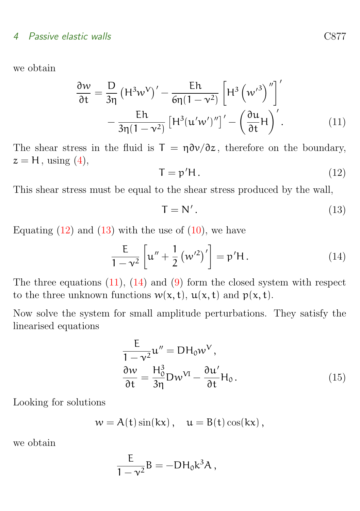#### 4 Passive elastic walls C877

we obtain

$$
\frac{\partial w}{\partial t} = \frac{D}{3\eta} \left( H^3 w^V \right)' - \frac{Eh}{6\eta (1 - v^2)} \left[ H^3 \left( w'^3 \right)'' \right]'
$$

$$
- \frac{Eh}{3\eta (1 - v^2)} \left[ H^3 (u'w')'' \right]' - \left( \frac{\partial u}{\partial t} H \right)'.
$$
(11)

The shear stress in the fluid is  $T = \eta \partial v / \partial z$ , therefore on the boundary,  $z = H$ , using  $(4)$ ,

<span id="page-6-2"></span><span id="page-6-0"></span>
$$
\mathsf{T} = \mathsf{p}' \mathsf{H} \,. \tag{12}
$$

This shear stress must be equal to the shear stress produced by the wall,

<span id="page-6-1"></span>
$$
T = N'. \tag{13}
$$

Equating  $(12)$  and  $(13)$  with the use of  $(10)$ , we have

<span id="page-6-3"></span>
$$
\frac{E}{1 - v^2} \left[ u'' + \frac{1}{2} \left( w'^2 \right)' \right] = p' H. \tag{14}
$$

The three equations  $(11)$ ,  $(14)$  and  $(9)$  form the closed system with respect to the three unknown functions  $w(x, t)$ ,  $u(x, t)$  and  $p(x, t)$ .

Now solve the system for small amplitude perturbations. They satisfy the linearised equations

$$
\frac{E}{1 - v^2} u'' = DH_0 w^V,
$$
  
\n
$$
\frac{\partial w}{\partial t} = \frac{H_0^3}{3\eta} D w^{VI} - \frac{\partial u'}{\partial t} H_0.
$$
\n(15)

Looking for solutions

$$
w=A(t)\sin(kx)\,,\quad u=B(t)\cos(kx)\,,
$$

we obtain

$$
\frac{E}{1-\nu^2}B=-DH_0k^3A,
$$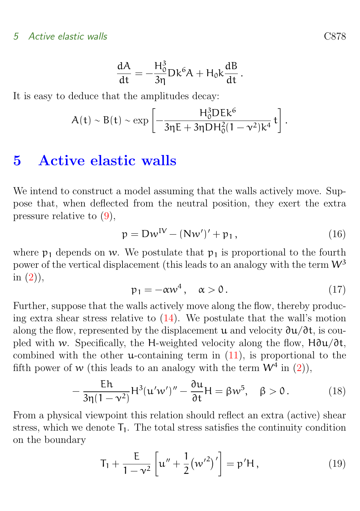#### 5 Active elastic walls C878

$$
\frac{dA}{dt} = -\frac{H_0^3}{3\eta} Dk^6 A + H_0 k \frac{dB}{dt}.
$$

It is easy to deduce that the amplitudes decay:

$$
A(t) \sim B(t) \sim \exp\left[-\frac{H_0^3DEk^6}{3\eta E + 3\eta DH_0^2(1-\nu^2)k^4} t\right].
$$

### <span id="page-7-0"></span>5 Active elastic walls

We intend to construct a model assuming that the walls actively move. Suppose that, when deflected from the neutral position, they exert the extra pressure relative to [\(9\)](#page-5-3),

<span id="page-7-1"></span>
$$
p = DwIV - (Nw')' + p1,
$$
\n(16)

where  $p_1$  depends on w. We postulate that  $p_1$  is proportional to the fourth power of the vertical displacement (this leads to an analogy with the term  $W^3$ in  $(2)$ ,

<span id="page-7-2"></span>
$$
p_1 = -\alpha w^4, \quad \alpha > 0. \tag{17}
$$

Further, suppose that the walls actively move along the flow, thereby producing extra shear stress relative to [\(14\)](#page-6-3). We postulate that the wall's motion along the flow, represented by the displacement u and velocity  $\partial u/\partial t$ , is coupled with w. Specifically, the H-weighted velocity along the flow,  $H\partial u/\partial t$ , combined with the other **u**-containing term in  $(11)$ , is proportional to the fifth power of w (this leads to an analogy with the term  $W^4$  in [\(2\)](#page-2-2)),

<span id="page-7-3"></span>
$$
-\frac{Eh}{3\eta(1-\nu^2)}H^3(u'w')'' - \frac{\partial u}{\partial t}H = \beta w^5, \quad \beta > 0.
$$
 (18)

From a physical viewpoint this relation should reflect an extra (active) shear stress, which we denote  $T_1$ . The total stress satisfies the continuity condition on the boundary

<span id="page-7-4"></span>
$$
T_1 + \frac{E}{1 - v^2} \left[ u'' + \frac{1}{2} (w'^2)' \right] = p'H, \qquad (19)
$$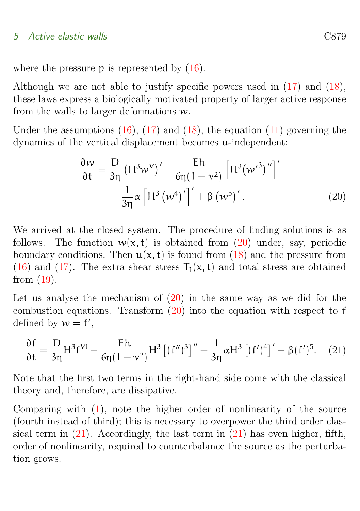#### 5 Active elastic walls C879

where the pressure  $p$  is represented by  $(16)$ .

Although we are not able to justify specific powers used in [\(17\)](#page-7-2) and [\(18\)](#page-7-3), these laws express a biologically motivated property of larger active response from the walls to larger deformations w.

Under the assumptions  $(16)$ ,  $(17)$  and  $(18)$ , the equation  $(11)$  governing the dynamics of the vertical displacement becomes u-independent:

<span id="page-8-0"></span>
$$
\frac{\partial w}{\partial t} = \frac{D}{3\eta} \left( H^3 w^V \right)' - \frac{Eh}{6\eta (1 - v^2)} \left[ H^3 (w'^3)'' \right]'
$$

$$
- \frac{1}{3\eta} \alpha \left[ H^3 (w^4)'\right]' + \beta (w^5)'.
$$
 (20)

We arrived at the closed system. The procedure of finding solutions is as follows. The function  $w(x, t)$  is obtained from [\(20\)](#page-8-0) under, say, periodic boundary conditions. Then  $u(x, t)$  is found from [\(18\)](#page-7-3) and the pressure from [\(16\)](#page-7-1) and [\(17\)](#page-7-2). The extra shear stress  $T_1(x, t)$  and total stress are obtained from [\(19\)](#page-7-4).

Let us analyse the mechanism of [\(20\)](#page-8-0) in the same way as we did for the combustion equations. Transform [\(20\)](#page-8-0) into the equation with respect to f defined by  $w = f'$ ,

<span id="page-8-1"></span>
$$
\frac{\partial f}{\partial t} = \frac{D}{3\eta} H^3 f^{VI} - \frac{Eh}{6\eta (1 - \nu^2)} H^3 \left[ (f'')^3 \right]'' - \frac{1}{3\eta} \alpha H^3 \left[ (f')^4 \right]' + \beta (f')^5. \tag{21}
$$

Note that the first two terms in the right-hand side come with the classical theory and, therefore, are dissipative.

Comparing with  $(1)$ , note the higher order of nonlinearity of the source (fourth instead of third); this is necessary to overpower the third order classical term in  $(21)$ . Accordingly, the last term in  $(21)$  has even higher, fifth, order of nonlinearity, required to counterbalance the source as the perturbation grows.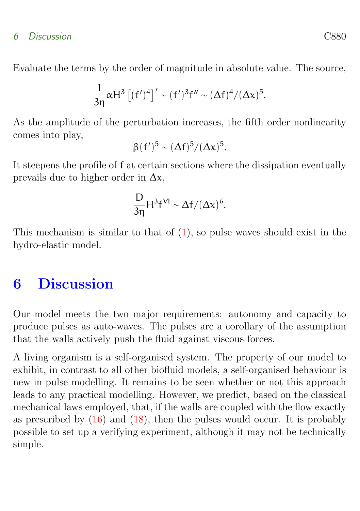#### 6 Discussion C880

Evaluate the terms by the order of magnitude in absolute value. The source,

$$
\frac{1}{3\eta}\alpha H^3 \left[ (f')^4 \right] ' \sim (f')^3 f'' \sim (\Delta f)^4 / (\Delta x)^5.
$$

As the amplitude of the perturbation increases, the fifth order nonlinearity comes into play,

$$
\beta(f')^5 \sim (\Delta f)^5/(\Delta x)^5.
$$

It steepens the profile of f at certain sections where the dissipation eventually prevails due to higher order in  $\Delta x$ ,

$$
\frac{D}{3\eta}H^3f^{VI} \sim \Delta f/(\Delta x)^6.
$$

This mechanism is similar to that of  $(1)$ , so pulse waves should exist in the hydro-elastic model.

# <span id="page-9-0"></span>6 Discussion

Our model meets the two major requirements: autonomy and capacity to produce pulses as auto-waves. The pulses are a corollary of the assumption that the walls actively push the fluid against viscous forces.

A living organism is a self-organised system. The property of our model to exhibit, in contrast to all other biofluid models, a self-organised behaviour is new in pulse modelling. It remains to be seen whether or not this approach leads to any practical modelling. However, we predict, based on the classical mechanical laws employed, that, if the walls are coupled with the flow exactly as prescribed by  $(16)$  and  $(18)$ , then the pulses would occur. It is probably possible to set up a verifying experiment, although it may not be technically simple.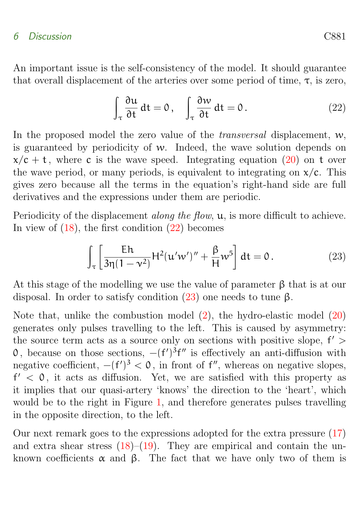#### 6 Discussion C881

An important issue is the self-consistency of the model. It should guarantee that overall displacement of the arteries over some period of time,  $\tau$ , is zero,

<span id="page-10-0"></span>
$$
\int_{\tau} \frac{\partial u}{\partial t} dt = 0, \quad \int_{\tau} \frac{\partial w}{\partial t} dt = 0.
$$
 (22)

In the proposed model the zero value of the *transversal* displacement,  $w$ , is guaranteed by periodicity of w. Indeed, the wave solution depends on  $x/c + t$ , where c is the wave speed. Integrating equation [\(20\)](#page-8-0) on t over the wave period, or many periods, is equivalent to integrating on  $x/c$ . This gives zero because all the terms in the equation's right-hand side are full derivatives and the expressions under them are periodic.

Periodicity of the displacement *along the flow*,  $u$ , is more difficult to achieve. In view of  $(18)$ , the first condition  $(22)$  becomes

<span id="page-10-1"></span>
$$
\int_{\tau} \left[ \frac{\mathsf{E}h}{3\eta(1-\nu^2)} \mathsf{H}^2(\mathfrak{u}'w')'' + \frac{\beta}{\mathsf{H}} w^5 \right] dt = 0. \tag{23}
$$

At this stage of the modelling we use the value of parameter β that is at our disposal. In order to satisfy condition  $(23)$  one needs to tune β.

Note that, unlike the combustion model [\(2\)](#page-2-2), the hydro-elastic model [\(20\)](#page-8-0) generates only pulses travelling to the left. This is caused by asymmetry: the source term acts as a source only on sections with positive slope,  $f'$  > 0, because on those sections,  $-(f')^3f''$  is effectively an anti-diffusion with negative coefficient,  $-(f')^3 < 0$ , in front of f'', whereas on negative slopes,  $f' < 0$ , it acts as diffusion. Yet, we are satisfied with this property as it implies that our quasi-artery 'knows' the direction to the 'heart', which would be to the right in Figure [1,](#page-3-0) and therefore generates pulses travelling in the opposite direction, to the left.

Our next remark goes to the expressions adopted for the extra pressure [\(17\)](#page-7-2) and extra shear stress  $(18)$ – $(19)$ . They are empirical and contain the unknown coefficients  $\alpha$  and  $\beta$ . The fact that we have only two of them is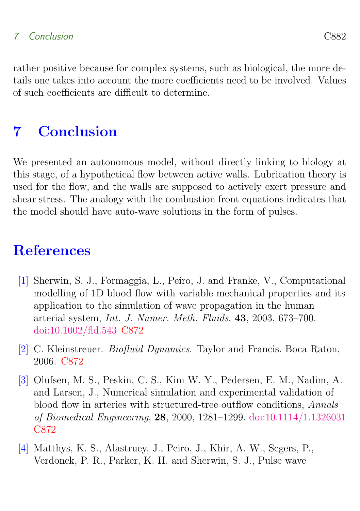### 7 Conclusion C882

rather positive because for complex systems, such as biological, the more details one takes into account the more coefficients need to be involved. Values of such coefficients are difficult to determine.

# <span id="page-11-0"></span>7 Conclusion

We presented an autonomous model, without directly linking to biology at this stage, of a hypothetical flow between active walls. Lubrication theory is used for the flow, and the walls are supposed to actively exert pressure and shear stress. The analogy with the combustion front equations indicates that the model should have auto-wave solutions in the form of pulses.

## **References**

- <span id="page-11-1"></span>[1] Sherwin, S. J., Formaggia, L., Peiro, J. and Franke, V., Computational modelling of 1D blood flow with variable mechanical properties and its application to the simulation of wave propagation in the human arterial system, Int. J. Numer. Meth. Fluids, 43, 2003, 673–700. [doi:10.1002/fld.543](http://dx.doi.org/10.1002/fld.543) [C872](#page-1-1)
- <span id="page-11-2"></span>[2] C. Kleinstreuer. Biofluid Dynamics. Taylor and Francis. Boca Raton, 2006. [C872](#page-1-1)
- <span id="page-11-3"></span>[3] Olufsen, M. S., Peskin, C. S., Kim W. Y., Pedersen, E. M., Nadim, A. and Larsen, J., Numerical simulation and experimental validation of blood flow in arteries with structured-tree outflow conditions, Annals of Biomedical Engineering, 28, 2000, 1281–1299. [doi:10.1114/1.1326031](http://dx.doi.org/10.1114/1.1326031) [C872](#page-1-1)
- <span id="page-11-4"></span>[4] Matthys, K. S., Alastruey, J., Peiro, J., Khir, A. W., Segers, P., Verdonck, P. R., Parker, K. H. and Sherwin, S. J., Pulse wave